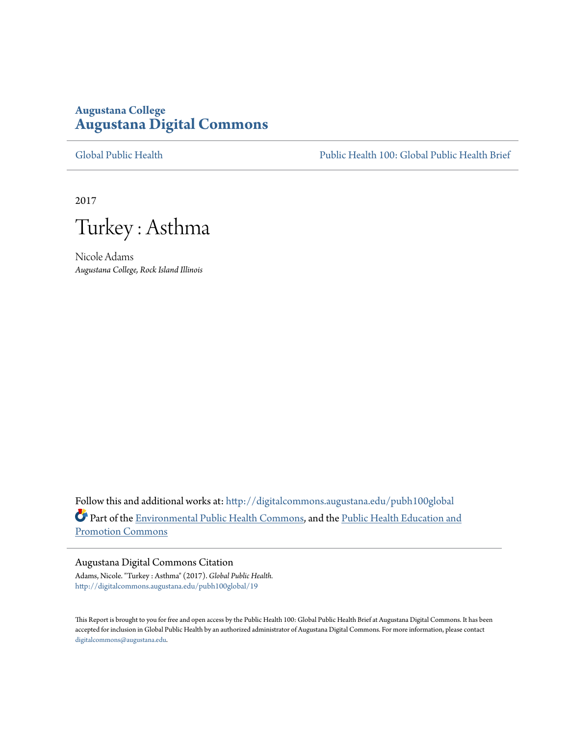# **Augustana College [Augustana Digital Commons](http://digitalcommons.augustana.edu?utm_source=digitalcommons.augustana.edu%2Fpubh100global%2F19&utm_medium=PDF&utm_campaign=PDFCoverPages)**

[Global Public Health](http://digitalcommons.augustana.edu/pubh100global?utm_source=digitalcommons.augustana.edu%2Fpubh100global%2F19&utm_medium=PDF&utm_campaign=PDFCoverPages) [Public Health 100: Global Public Health Brief](http://digitalcommons.augustana.edu/pubh100?utm_source=digitalcommons.augustana.edu%2Fpubh100global%2F19&utm_medium=PDF&utm_campaign=PDFCoverPages)

2017

Turkey : Asthma

Nicole Adams *Augustana College, Rock Island Illinois*

Follow this and additional works at: [http://digitalcommons.augustana.edu/pubh100global](http://digitalcommons.augustana.edu/pubh100global?utm_source=digitalcommons.augustana.edu%2Fpubh100global%2F19&utm_medium=PDF&utm_campaign=PDFCoverPages) Part of the [Environmental Public Health Commons](http://network.bepress.com/hgg/discipline/739?utm_source=digitalcommons.augustana.edu%2Fpubh100global%2F19&utm_medium=PDF&utm_campaign=PDFCoverPages), and the [Public Health Education and](http://network.bepress.com/hgg/discipline/743?utm_source=digitalcommons.augustana.edu%2Fpubh100global%2F19&utm_medium=PDF&utm_campaign=PDFCoverPages) [Promotion Commons](http://network.bepress.com/hgg/discipline/743?utm_source=digitalcommons.augustana.edu%2Fpubh100global%2F19&utm_medium=PDF&utm_campaign=PDFCoverPages)

## Augustana Digital Commons Citation

Adams, Nicole. "Turkey : Asthma" (2017). *Global Public Health.* [http://digitalcommons.augustana.edu/pubh100global/19](http://digitalcommons.augustana.edu/pubh100global/19?utm_source=digitalcommons.augustana.edu%2Fpubh100global%2F19&utm_medium=PDF&utm_campaign=PDFCoverPages)

This Report is brought to you for free and open access by the Public Health 100: Global Public Health Brief at Augustana Digital Commons. It has been accepted for inclusion in Global Public Health by an authorized administrator of Augustana Digital Commons. For more information, please contact [digitalcommons@augustana.edu.](mailto:digitalcommons@augustana.edu)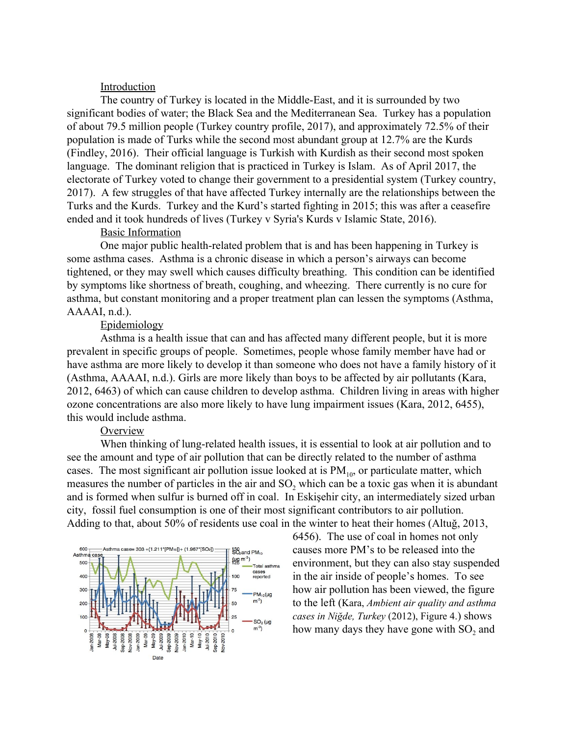#### **Introduction**

The country of Turkey is located in the Middle-East, and it is surrounded by two significant bodies of water; the Black Sea and the Mediterranean Sea. Turkey has a population of about 79.5 million people (Turkey country profile, 2017), and approximately 72.5% of their population is made of Turks while the second most abundant group at 12.7% are the Kurds (Findley, 2016). Their official language is Turkish with Kurdish as their second most spoken language. The dominant religion that is practiced in Turkey is Islam. As of April 2017, the electorate of Turkey voted to change their government to a presidential system (Turkey country, 2017). A few struggles of that have affected Turkey internally are the relationships between the Turks and the Kurds. Turkey and the Kurd's started fighting in 2015; this was after a ceasefire ended and it took hundreds of lives (Turkey v Syria's Kurds v Islamic State, 2016).

#### Basic Information

One major public health-related problem that is and has been happening in Turkey is some asthma cases. Asthma is a chronic disease in which a person's airways can become tightened, or they may swell which causes difficulty breathing. This condition can be identified by symptoms like shortness of breath, coughing, and wheezing. There currently is no cure for asthma, but constant monitoring and a proper treatment plan can lessen the symptoms (Asthma, AAAAI, n.d.).

## Epidemiology

Asthma is a health issue that can and has affected many different people, but it is more prevalent in specific groups of people. Sometimes, people whose family member have had or have asthma are more likely to develop it than someone who does not have a family history of it (Asthma, AAAAI, n.d.). Girls are more likely than boys to be affected by air pollutants (Kara, 2012, 6463) of which can cause children to develop asthma. Children living in areas with higher ozone concentrations are also more likely to have lung impairment issues (Kara, 2012, 6455), this would include asthma.

## **Overview**

When thinking of lung-related health issues, it is essential to look at air pollution and to see the amount and type of air pollution that can be directly related to the number of asthma cases. The most significant air pollution issue looked at is  $PM_{10}$ , or particulate matter, which measures the number of particles in the air and  $SO_2$  which can be a toxic gas when it is abundant and is formed when sulfur is burned off in coal. In Eskişehir city, an intermediately sized urban city, fossil fuel consumption is one of their most significant contributors to air pollution. Adding to that, about 50% of residents use coal in the winter to heat their homes (Altuğ, 2013,



6456). The use of coal in homes not only causes more PM's to be released into the environment, but they can also stay suspended in the air inside of people's homes. To see how air pollution has been viewed, the figure to the left (Kara, *Ambient air quality and asthma cases in Niğde, Turkey* (2012), Figure 4.) shows how many days they have gone with  $SO<sub>2</sub>$  and